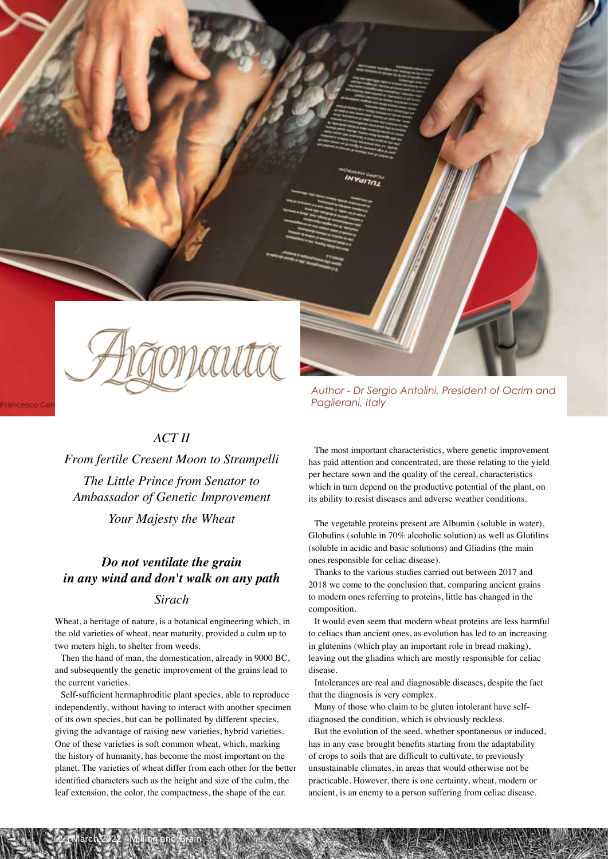

# *ACT II*

*From fertile Cresent Moon to Strampelli The Little Prince from Senator to Ambassador of Genetic Improvement Your Majesty the Wheat*

# *Do not ventilate the grain in any wind and don't walk on any path*

## *Sirach*

Wheat, a heritage of nature, is a botanical engineering which, in the old varieties of wheat, near maturity, provided a culm up to two meters high, to shelter from weeds.

Then the hand of man, the domestication, already in 9000 BC, and subsequently the genetic improvement of the grains lead to the current varieties.

Self-sufficient hermaphroditic plant species, able to reproduce independently, without having to interact with another specimen of its own species, but can be pollinated by different species, giving the advantage of raising new varieties, hybrid varieties. One of these varieties is soft common wheat, which, marking the history of humanity, has become the most important on the planet. The varieties of wheat differ from each other for the better identified characters such as the height and size of the culm, the leaf extension, the color, the compactness, the shape of the ear.

62 | March 2022 - Milling and Grain

*Author - Dr Sergio Antolini, President of Ocrim and Paglierani, Italy*

The most important characteristics, where genetic improvement has paid attention and concentrated, are those relating to the yield per hectare sown and the quality of the cereal, characteristics which in turn depend on the productive potential of the plant, on its ability to resist diseases and adverse weather conditions.

The vegetable proteins present are Albumin (soluble in water), Globulins (soluble in 70% alcoholic solution) as well as Glutilins (soluble in acidic and basic solutions) and Gliadins (the main ones responsible for celiac disease).

Thanks to the various studies carried out between 2017 and 2018 we come to the conclusion that, comparing ancient grains to modern ones referring to proteins, little has changed in the composition.

It would even seem that modern wheat proteins are less harmful to celiacs than ancient ones, as evolution has led to an increasing in glutenins (which play an important role in bread making), leaving out the gliadins which are mostly responsible for celiac disease.

Intolerances are real and diagnosable diseases, despite the fact that the diagnosis is very complex.

Many of those who claim to be gluten intolerant have selfdiagnosed the condition, which is obviously reckless.

But the evolution of the seed, whether spontaneous or induced, has in any case brought benefits starting from the adaptability of crops to soils that are difficult to cultivate, to previously unsustainable climates, in areas that would otherwise not be practicable. However, there is one certainty, wheat, modern or ancient, is an enemy to a person suffering from celiac disease.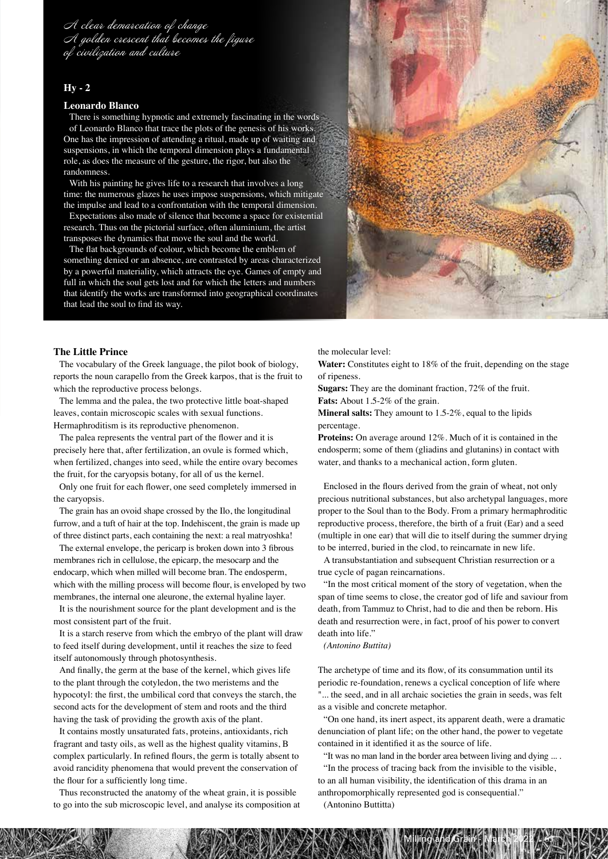A clear demarcation of change A golden crescent that becomes the figure of civilization and culture

### **Hy - 2**

#### **Leonardo Blanco**

There is something hypnotic and extremely fascinating in the words of Leonardo Blanco that trace the plots of the genesis of his works. One has the impression of attending a ritual, made up of waiting and suspensions, in which the temporal dimension plays a fundamental role, as does the measure of the gesture, the rigor, but also the randomness.

With his painting he gives life to a research that involves a long time: the numerous glazes he uses impose suspensions, which mitigate the impulse and lead to a confrontation with the temporal dimension.

Expectations also made of silence that become a space for existential research. Thus on the pictorial surface, often aluminium, the artist transposes the dynamics that move the soul and the world.

The flat backgrounds of colour, which become the emblem of something denied or an absence, are contrasted by areas characterized by a powerful materiality, which attracts the eye. Games of empty and full in which the soul gets lost and for which the letters and numbers that identify the works are transformed into geographical coordinates that lead the soul to find its way.



#### **The Little Prince**

The vocabulary of the Greek language, the pilot book of biology, reports the noun carapello from the Greek karpos, that is the fruit to which the reproductive process belongs.

The lemma and the palea, the two protective little boat-shaped leaves, contain microscopic scales with sexual functions. Hermaphroditism is its reproductive phenomenon.

The palea represents the ventral part of the flower and it is precisely here that, after fertilization, an ovule is formed which, when fertilized, changes into seed, while the entire ovary becomes the fruit, for the caryopsis botany, for all of us the kernel.

Only one fruit for each flower, one seed completely immersed in the caryopsis.

The grain has an ovoid shape crossed by the Ilo, the longitudinal furrow, and a tuft of hair at the top. Indehiscent, the grain is made up of three distinct parts, each containing the next: a real matryoshka!

The external envelope, the pericarp is broken down into 3 fibrous membranes rich in cellulose, the epicarp, the mesocarp and the endocarp, which when milled will become bran. The endosperm, which with the milling process will become flour, is enveloped by two membranes, the internal one aleurone, the external hyaline layer.

It is the nourishment source for the plant development and is the most consistent part of the fruit.

It is a starch reserve from which the embryo of the plant will draw to feed itself during development, until it reaches the size to feed itself autonomously through photosynthesis.

And finally, the germ at the base of the kernel, which gives life to the plant through the cotyledon, the two meristems and the hypocotyl: the first, the umbilical cord that conveys the starch, the second acts for the development of stem and roots and the third having the task of providing the growth axis of the plant.

It contains mostly unsaturated fats, proteins, antioxidants, rich fragrant and tasty oils, as well as the highest quality vitamins, B complex particularly. In refined flours, the germ is totally absent to avoid rancidity phenomena that would prevent the conservation of the flour for a sufficiently long time.

Thus reconstructed the anatomy of the wheat grain, it is possible to go into the sub microscopic level, and analyse its composition at the molecular level:

**Water:** Constitutes eight to 18% of the fruit, depending on the stage of ripeness.

**Sugars:** They are the dominant fraction, 72% of the fruit.

**Fats:** About 1.5-2% of the grain.

**Mineral salts:** They amount to 1.5-2%, equal to the lipids percentage.

**Proteins:** On average around 12%. Much of it is contained in the endosperm; some of them (gliadins and glutanins) in contact with water, and thanks to a mechanical action, form gluten.

Enclosed in the flours derived from the grain of wheat, not only precious nutritional substances, but also archetypal languages, more proper to the Soul than to the Body. From a primary hermaphroditic reproductive process, therefore, the birth of a fruit (Ear) and a seed (multiple in one ear) that will die to itself during the summer drying to be interred, buried in the clod, to reincarnate in new life.

A transubstantiation and subsequent Christian resurrection or a true cycle of pagan reincarnations.

"In the most critical moment of the story of vegetation, when the span of time seems to close, the creator god of life and saviour from death, from Tammuz to Christ, had to die and then be reborn. His death and resurrection were, in fact, proof of his power to convert death into life."

#### *(Antonino Buttita)*

The archetype of time and its flow, of its consummation until its periodic re-foundation, renews a cyclical conception of life where "... the seed, and in all archaic societies the grain in seeds, was felt as a visible and concrete metaphor.

"On one hand, its inert aspect, its apparent death, were a dramatic denunciation of plant life; on the other hand, the power to vegetate contained in it identified it as the source of life.

"It was no man land in the border area between living and dying ... .

"In the process of tracing back from the invisible to the visible, to an all human visibility, the identification of this drama in an

Milling and Grain - March 2022 L-63

anthropomorphically represented god is consequential."

(Antonino Buttitta)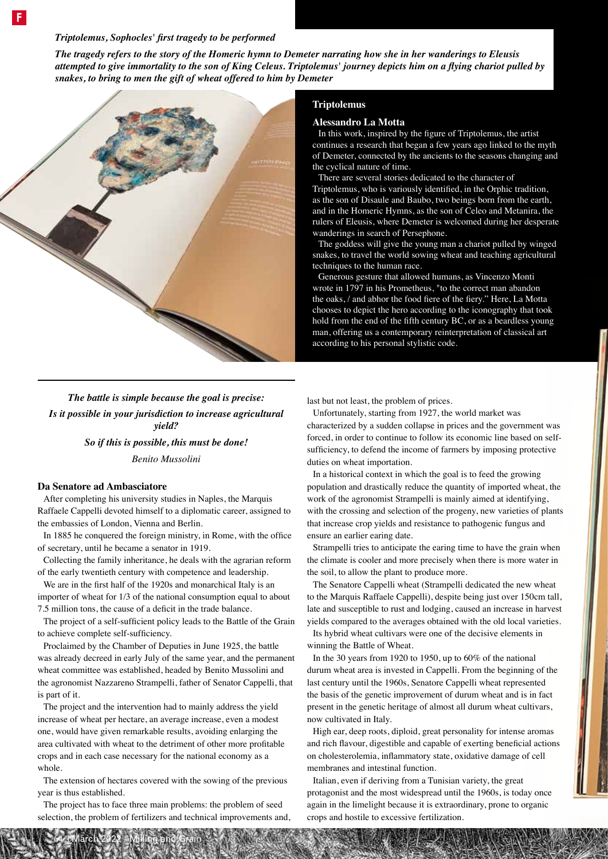### *Triptolemus, Sophocles' first tragedy to be performed*

*The tragedy refers to the story of the Homeric hymn to Demeter narrating how she in her wanderings to Eleusis attempted to give immortality to the son of King Celeus. Triptolemus' journey depicts him on a flying chariot pulled by snakes, to bring to men the gift of wheat offered to him by Demeter*



# *The battle is simple because the goal is precise: Is it possible in your jurisdiction to increase agricultural yield?*

*So if this is possible, this must be done! Benito Mussolini*

#### **Da Senatore ad Ambasciatore**

After completing his university studies in Naples, the Marquis Raffaele Cappelli devoted himself to a diplomatic career, assigned to the embassies of London, Vienna and Berlin.

In 1885 he conquered the foreign ministry, in Rome, with the office of secretary, until he became a senator in 1919.

Collecting the family inheritance, he deals with the agrarian reform of the early twentieth century with competence and leadership.

We are in the first half of the 1920s and monarchical Italy is an importer of wheat for 1/3 of the national consumption equal to about 7.5 million tons, the cause of a deficit in the trade balance.

The project of a self-sufficient policy leads to the Battle of the Grain to achieve complete self-sufficiency.

Proclaimed by the Chamber of Deputies in June 1925, the battle was already decreed in early July of the same year, and the permanent wheat committee was established, headed by Benito Mussolini and the agronomist Nazzareno Strampelli, father of Senator Cappelli, that is part of it.

The project and the intervention had to mainly address the yield increase of wheat per hectare, an average increase, even a modest one, would have given remarkable results, avoiding enlarging the area cultivated with wheat to the detriment of other more profitable crops and in each case necessary for the national economy as a whole.

The extension of hectares covered with the sowing of the previous year is thus established.

The project has to face three main problems: the problem of seed selection, the problem of fertilizers and technical improvements and,

64 | March 2022 - Milling and Grain

#### **Triptolemus**

#### **Alessandro La Motta**

In this work, inspired by the figure of Triptolemus, the artist continues a research that began a few years ago linked to the myth of Demeter, connected by the ancients to the seasons changing and the cyclical nature of time.

There are several stories dedicated to the character of Triptolemus, who is variously identified, in the Orphic tradition, as the son of Disaule and Baubo, two beings born from the earth, and in the Homeric Hymns, as the son of Celeo and Metanira, the rulers of Eleusis, where Demeter is welcomed during her desperate wanderings in search of Persephone.

The goddess will give the young man a chariot pulled by winged snakes, to travel the world sowing wheat and teaching agricultural techniques to the human race.

Generous gesture that allowed humans, as Vincenzo Monti wrote in 1797 in his Prometheus, "to the correct man abandon the oaks, / and abhor the food fiere of the fiery." Here, La Motta chooses to depict the hero according to the iconography that took hold from the end of the fifth century BC, or as a beardless young man, offering us a contemporary reinterpretation of classical art according to his personal stylistic code.

last but not least, the problem of prices.

Unfortunately, starting from 1927, the world market was characterized by a sudden collapse in prices and the government was forced, in order to continue to follow its economic line based on selfsufficiency, to defend the income of farmers by imposing protective duties on wheat importation.

In a historical context in which the goal is to feed the growing population and drastically reduce the quantity of imported wheat, the work of the agronomist Strampelli is mainly aimed at identifying, with the crossing and selection of the progeny, new varieties of plants that increase crop yields and resistance to pathogenic fungus and ensure an earlier earing date.

Strampelli tries to anticipate the earing time to have the grain when the climate is cooler and more precisely when there is more water in the soil, to allow the plant to produce more.

The Senatore Cappelli wheat (Strampelli dedicated the new wheat to the Marquis Raffaele Cappelli), despite being just over 150cm tall, late and susceptible to rust and lodging, caused an increase in harvest yields compared to the averages obtained with the old local varieties.

Its hybrid wheat cultivars were one of the decisive elements in winning the Battle of Wheat.

In the 30 years from 1920 to 1950, up to 60% of the national durum wheat area is invested in Cappelli. From the beginning of the last century until the 1960s, Senatore Cappelli wheat represented the basis of the genetic improvement of durum wheat and is in fact present in the genetic heritage of almost all durum wheat cultivars, now cultivated in Italy.

High ear, deep roots, diploid, great personality for intense aromas and rich flavour, digestible and capable of exerting beneficial actions on cholesterolemia, inflammatory state, oxidative damage of cell membranes and intestinal function.

Italian, even if deriving from a Tunisian variety, the great protagonist and the most widespread until the 1960s, is today once again in the limelight because it is extraordinary, prone to organic crops and hostile to excessive fertilization.